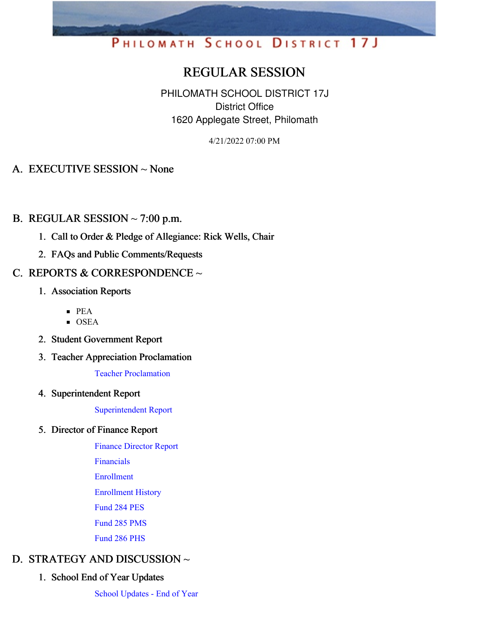# PHILOMATH SCHOOL DISTRICT 17J

## REGULAR SESSION

PHILOMATH SCHOOL DISTRICT 17J District Office 1620 Applegate Street, Philomath

4/21/2022 07:00 PM

## A. EXECUTIVE SESSION ~ None

## B. REGULAR SESSION  $\sim$  7:00 p.m.

- 1. Call to Order & Pledge of Allegiance: Rick Wells, Chair
- 2. FAQs and Public Comments/Requests

## C. REPORTS & CORRESPONDENCE ~

- 1. Association Reports
	- $PEA$
	- **OSEA**
- 2. Student Government Report
- 3. Teacher Appreciation Proclamation

Teacher [Proclamation](https://app.eduportal.com/documents/view/829555)

4. Superintendent Report

[Superintendent](https://app.eduportal.com/documents/view/830062) Report

#### 5. Director of Finance Report

Finance [Director](https://app.eduportal.com/documents/view/829547) Report

[Financials](https://app.eduportal.com/documents/view/829565)

[Enrollment](https://app.eduportal.com/documents/view/829540)

[Enrollment](https://app.eduportal.com/documents/view/831417) History

[Fund](https://app.eduportal.com/documents/view/829542) 284 PES

[Fund](https://app.eduportal.com/documents/view/829541) 285 PMS

[Fund](https://app.eduportal.com/documents/view/829543) 286 PHS

## D. STRATEGY AND DISCUSSION ~

1. School End of Year Updates

School [Updates](https://app.eduportal.com/documents/view/831416) - End of Year